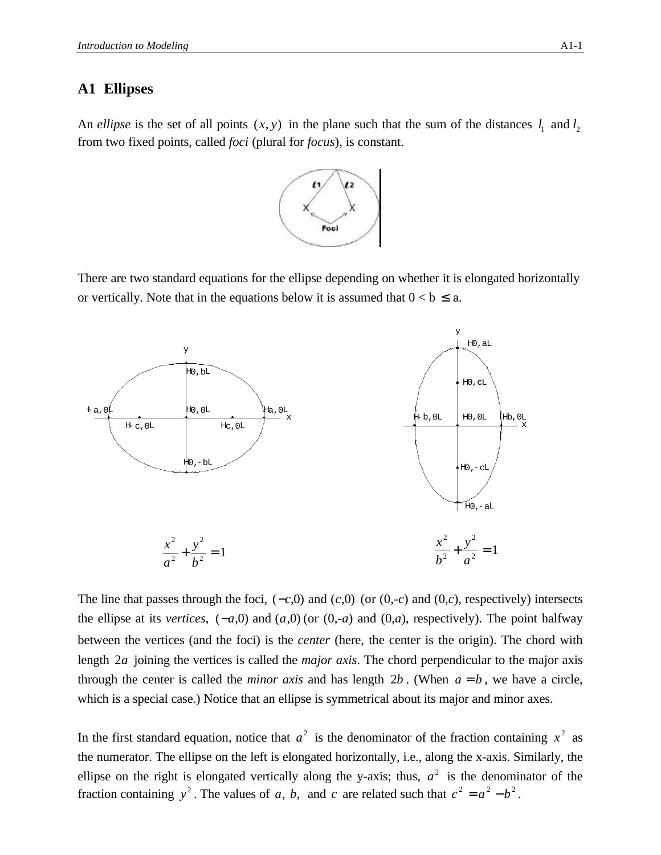## **A1 Ellipses**

An *ellipse* is the set of all points  $(x, y)$  in the plane such that the sum of the distances  $l_1$  and  $l_2$ from two fixed points, called *foci* (plural for *focus*), is constant.



There are two standard equations for the ellipse depending on whether it is elongated horizontally or vertically. Note that in the equations below it is assumed that  $0 < b \le a$ .



The line that passes through the foci, (−*c*,0) and (*c*,0) (or (0,-*c*) and (0,*c*), respectively) intersects the ellipse at its *vertices*,  $(-a,0)$  and  $(a,0)$  (or  $(0,-a)$  and  $(0,a)$ , respectively). The point halfway between the vertices (and the foci) is the *center* (here, the center is the origin). The chord with length 2*a* joining the vertices is called the *major axis*. The chord perpendicular to the major axis through the center is called the *minor axis* and has length  $2b$ . (When  $a = b$ , we have a circle, which is a special case.) Notice that an ellipse is symmetrical about its major and minor axes.

In the first standard equation, notice that  $a^2$  is the denominator of the fraction containing  $x^2$  as the numerator. The ellipse on the left is elongated horizontally, i.e., along the x-axis. Similarly, the ellipse on the right is elongated vertically along the y-axis; thus,  $a^2$  is the denominator of the fraction containing  $y^2$ . The values of *a*, *b*, and *c* are related such that  $c^2 = a^2 - b^2$ .